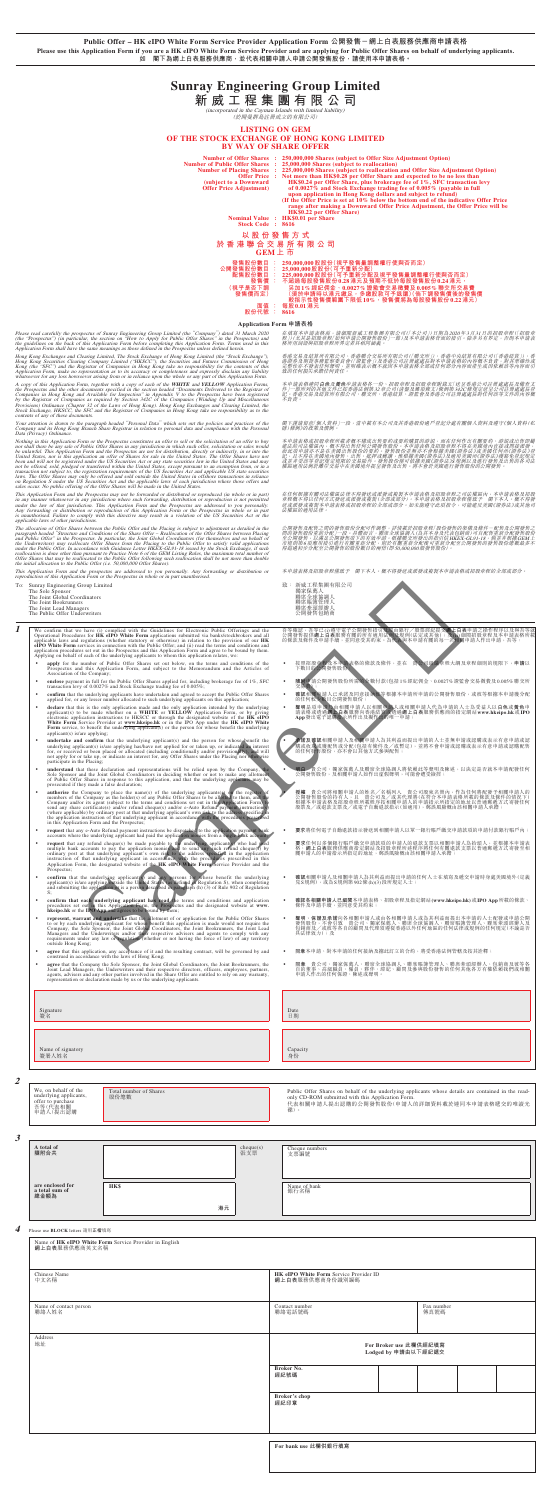**Public Offer – HK eIPO White Form Service Provider Application Form 公開發售-網上白表服務供應商申請表格 Please use this Application Form if you are a HK eIPO White Form Service Provider and are applying for Public Offer Shares on behalf of underlying applicants. 如 閣下為網上白表服務供應商,並代表相關申請人申請公開發售股份,請使用本申請表格。**

# **Sunray Engineering Group Limited**

**新威工程集團有限公司**

(incorporated in the Cayman Islands with limited liability)

red in the Cayman Islands with infine

### **LISTING ON GEM OF THE STOCK EXCHANGE OF HONG KONG LIMITED BY WAY OF SHARE OFFER**

Number of Offer Shares : 250,000,000 Shares (subject to Offer Size Adjustment Option)<br>Number of Public Offer Shares : 25,000,000 Shares (subject to reallocation)<br>Number of Placing Shares : 225,000,000 Shares (subject to re

: Not more than HK\$0.28 per Offer Share and expected to be no less than<br>HK\$0.24 per Offer Share, plus brokerage fee of 1%, SFC transaction levy<br>of 0.0027% and Stock Exchange trading fee of 0.005% (payable in full<br>upon app  **HK\$0.22 per Offer Share) Nominal Value : HK\$0.01 per Share Stock Code : 8616**

**以股份發售方式 於香港聯合交易所有限公司 GEM上 市** 發售股份數目<br>公開發售股份數目<br>個種性の發售價額<br>《視乎是否下調

發售股份數目: 250,000,000股股份(視乎發售量調整權行使與否而定)<br>公開發售股份數目: 25,000,000股股份(可予重新分配及視乎發售量調整權行使與否而定)<br>配管股份數目: 225,000,000股股份(可予重新分配及視乎發售量調整權行使與否而定)<br>配管 發售價(: 不超過每股發售股份 0.0.8港元及預期不低於每股發售股份0.24港元,<br>(視乎是否下調 另加1%經紀佣金、0.0027%證監會交易徵費及 0.005%聯 **(視乎是否下調 發售價而定) 股份代號 : 8616**

**Application Form 申請表格**

Please read carefully the prospectus of Sunray Engineering Group Limited (the "Company") dated 31 March 2020<br>(the "Prospectus") (in particular, the section on "How to Apply for Public Offer Shares" in the Prospectus) and<br>t

Hong Kong Exchanges and Clearing Limited, The Stock Exchange of Hong Kong Limited (the "Stock Exchange"),<br>Hong Kong Securities Clearing Company Limited ("HKSCC"), the Securities and Futures Commission of Hong<br>Kong (the "SF

A copy of this Application Form, together with a copy of each of the **WHITE** and **YELOW** Application Forms, the Prospectius and the other documents specified in the section headed "Documents Delivered to the Registrar of C

Your attention is drawn to the paragraph headed "Personal Data" which sets out the policies and practices of the<br>Company and its Hong Kong Branch Share Registrar in relation to personal data and compliance with the Persona

Nothing in this Application Form or the Prospectus constitutes an offer to sell or the solicitation of an offer to buy<br>nor shall there be any sale of Public Offer Shares in any jurisdiction in which such offer, solicitatio

This Application Form and the Prospectus may not be forwarded or distributed or reproduced (in whole or in part) in any mare whatsover in any jurisdiction. This Application where such forwarding, distribution or reproducti

The allocation of Offer Shares between the Public Offer and the Placing is subject to adjustment as detailed in the and Public Offer Shares Offer Shares Offer Shares of the Share Offers Shares of the Share of the Offer Sha

- ‧ **apply** for the number of Public Offer Shares set out below, on the terms and conditions of the Prospectus and this Application Form, and subject to the Memorandum and the Articles of Association of the Company;
- **enclose** payment in full for the Public Offer Shares applied for, including brokerage fee of 1%, SFC transaction levy of 0.0027% and Stock Exchange trading fee of 0.005%;
- **• confirm** that the underlying applicants have undertaken and agreed to accept the Public Offer Shares applied for, or any lesser number allocated to such underlying applicants on this application;
- declare that this is the only application made and the only application intended by the underlying application to a WHTE or YELLOW Application Form, or by giving electronic application instructions to HKSCC or through th
- **• undertake and confirm** that the underlying applicant(s) and the person for whose **denefit the** underlying applicant(s) is/are applying has/have not applicd for or indetexted for, or received or been placed or allocat
- understand that these declaration and representations will be relied upon by the Company, the Sole Sponsor and the Joint Global Coordinators in deciding whether or not to make any allotment of Public Offer Shares in resp
- authorise the Company to place the name(s) of the underlying applicants(s) of the register of members of the Company and the company and the company and/or its agent (subject to the terms and conditions set out in this A
- 

在填寫本申請表格前,請細閱新威工程集團有限公司(「本公司」)日期為2020年3月31日的招股章程([招股章<br>程」)(尤其是招股章程[如何申請公開發售股份」一節)及本申請表格背面的指引。除非另有界定,否則本申請表<br>格所用詞語與招股章程所界定者具相同涵義。

香港交易及結算所有限公司、香港聯合交易所有限公司(「聯交所」)、香港中央結算有限公司(「香港結算」)、香港課務会員會(「證監會」)及有限公司(「西港)」)、香港中央結算有限公司(「香港結算」)、香港<br>完整性亦不發表任何資理,並明確表示概不就因本申請表格全部或任何部分內容而產生或因依賴該等內容而引<br>致的任何損失承擔任何責任。

本申請表格連同**白色**及黃色申請表格各一份、招股章程及招股章程附錄五「送呈香港公司註冊處處長及備查文<br>件」一節所列的其他文件已按香港法例第32章公司(清盤及權項條文)條例第342C條規定送呈公司註冊處處長登<br>記。香港交易及結算所有限公司、聯交所、香港結算、證監會及香港公司註冊處處長對任何該等文件的內容概<br>不自責。

This Application Form and the prospectus are addressed to you personally. Any forwarding or distribution or reproduction of this Application Form or the Prospectus in whole or in part unauthorised.

閣下謹請留意「個人資料」一段,當中載有本公司及其香港股份過戶登記分處有關個人資料及遵守《個人資料(私 隱)條例》的政策及慣例。

本申請表格或招股章程所載者概不構成出售要約或要約購買的游説,而在任何作出有關要約、游説或出售即屬<br>違法的司法權區內,概不得出售任何公開發售股份。本申請表格及招股章程不得在美國境內直接或間接派發, 而此項申請亦不是在美國出售股份的要約。發售股份並無亦不會根據美國《證券法》或美國任何州《證券法》登<br>記, 且不得在美國境內變售、出售、抵押或轉讓, 惟根據美國《證券法》及適用美國州《證券法》獲豁免登記規定<br>或並非受該等發記規定規申在美國線外提呈發售及出售。將不會於美國媒行發售股份的公開發售。<br>權區適用法例於離岸交易中在美國境外提呈發售及出售。將不會於美國建行發售股份的公開發售。

在任何根據有關司法權區法律不得發送或派發或複製本申請表格及招股章程之司法權區內,本申請表格及招股<br>章程概不得以任何方式發送或派發或複製(全部或部分)。本申請表格及招股章程僅致予 閣下本人。概不得發<br>送或派發政複製本申請表格或招股章程的全部或部分。如未能遵守此項指令,可能違反美國《證券法》或其他司<br>法權區的適用法律。

公開發焦及配售之間的發售股份分配可作調整,詳精載於招股意程「股份發售的架構及條件」配售及公開發售发展<br>開放發售股份重新分配」一段。具體而言,聯席全球協調人(為其本身及代表包銷商)可自配售重新公配發售股份<br>至公開發售,以滿足公開發售項下的有效申請。根據聯交所發出的指引信其KEX-GL91-18,備並非根據GEM上<br>存超過初步分配至公開發售的股份數目的兩倍(即50000000股發售股份)。<br>得超過初步分配至公開發售的股份數目的兩倍(即5000

本申請表格及招股章程僅致予 閣下本人。概不得發送或派發或複製本申請表格或招股章程的全部或部分。

To: Sunray Engineering Group Limited

- The Sole Sponsor The Joint Global Coordinators The Joint Bookrunners The Joint Lead Managers The Public Offer Underwriters
	-
	-

**T** We confirm that we have (i) complied with the Guidelines for Electronic Public Offerings and the Operational Procedures for **HK ePO** White **Form** applicable laws and regulations (whether statutory or otherwise) in rela

| 新威工程集團有限公司 |
|------------|
| 獨家保薦人      |
| 聯席全球協調人    |
| 聯席賬簿管理人    |
| 聯席牽頭經辦人    |
| 公開發售包銷商    |
| 致:         |

吾等確認,吾等已(i)遵守電子公開發售指引及經由銀行/股票經紀提交**網上白表**申請之操作程序以及與吾等就<br>公開發售提供**網上白表**服務有關的所有適用法例及規例(法定或其他);及(ii)細閱招股章程及本申請表格所載<br>的條款及條件及申請手續,並同意受其約束。為代表與本申請有關的每一名相關申請人作出申請,吾等:

- 按照招股章程及本申請表格的條款及條件,並在 貴公司組織章程大綱及章程細則的規限下,**申請**以<br>下數目的公開發售股份;
- **隨附**申請公開發售股份所需的全數付款(包括1%經紀佣金、0.0027%證監會交易徵費及0.005%聯交所<br>交易費);
- 
- **確認**相關申請人已承諾及同意接納彼等根據本申請所申請的公開發售股份,或彼等根據本申請獲分配<br>的任何較少數目公開發售股份;
- 聲明是項申請乃由相關申請人以相關申請人或相關申請人代為申請的人士為受益人以白色或黃色申<br>請表格或透過網上白表服務向香港結算或透過鋼上白表服務供應商的指定網站ww.hkeipo.hk或IPO<br>App發出電子認購指示所作出及擬作出的唯一申請;

| White Form Service Provider at www.hkeipo.hk or in the IPO App under the HK eIPO White<br>Form service, to benefit the underlying applicant(s) or the person for whose benefit the underlying<br>$appliednt(s)$ is/are $applying$ ;                                                                                                                                                                                                                                                          |                                                                                                                                                                                                               |
|----------------------------------------------------------------------------------------------------------------------------------------------------------------------------------------------------------------------------------------------------------------------------------------------------------------------------------------------------------------------------------------------------------------------------------------------------------------------------------------------|---------------------------------------------------------------------------------------------------------------------------------------------------------------------------------------------------------------|
| undertake and confirm that the underlying applicant(s) and the person for whose benefit the<br>underlying applicant(s) is/are applying has/have not applied for or taken up, or indicated an interest<br>for, or received or been placed or allocated (including conditionally and/or provisionally), and will<br>not apply for or take up, or indicate an interest for, any Offer Shares under the Placing nor otherwise<br>participate in the Placing;                                     | <b>承諾及確認</b> 相關申請人及相關申請人為其利益而提出申請的人士並無申請或認購或表示有意申請或認<br>購或收取或獲配售或分配(包括有條件及/或暫定),並將不會申請或認購或表示有意申請或認購配售<br>的任何發售股份,亦不會以其他方式參與配售;                                                                                |
| understand that these declaration and representations will be relied upon by the Company, the<br>Sole Sponsor and the Joint Global Coordinators in deciding whether or not to make any allotment<br>of Public Offer Shares in response to this application, and that the underlying applicants may be<br>prosecuted if they made a false declaration;                                                                                                                                        | 明白 - 貴公司、獨家保薦人及聯席全球協調人將依賴此等聲明及陳述,以決定是否就本申請配發任何<br>公開發售股份,及相關申請人如作出虛假聲明,可能會遭受撿控;                                                                                                                               |
| <b>authorise</b> the Company to place the name(s) of the underlying applicants(s) on the register of members of the Company as the holder(s) of any Public Offer Shares to be allotted to them, and the<br>Company and/or its agent (subject to the terms and conditions set out in this Application Form, to send any share certificate(s) and/or refund the<br>question start (subject to the terms and conditions set out in this Applica<br>in this Application Form and the Prospectus; | <b>授權</b> 貴公司將相關申請人的姓名/名稱列入  貴公司股東名冊內,作為任何將配發予相關申請人的<br>公開發售股份的持有人,且 貴公司及/或其代理將(在符合本申請表格所載的條款及條件的情况下)<br>根據本申請表格及招股章程所載程序按相關申請人的申請指示所指定的地址以普通郵遞方式寄發任何<br>股票及/或退款支票及/或電子自動退款指示(如適用),郵誤風險概由該相關申請人承擔;            |
| request that any e-Auto Refund payment instructions be dispatched to the application payment bank<br>accounts where the underlying applicant had paid the application monies from a single bank account;                                                                                                                                                                                                                                                                                     | 要求將任何電子自動退款指示發送到相關申請人以單一銀行賬戶繳交申請款項的申請付款銀行賬戶內;                                                                                                                                                                 |
| request that any refund cheque(s) be made payable to the underlying applicantly. Who had used<br>multiple bank accounts to pay the application monies and to send any such refund cheque(s) by<br>ordinary post at that underlying a<br>Prospectus;                                                                                                                                                                                                                                          | 要求任何以多個銀行賬戶繳交申請款項的申請人的退款支票以相關申請人為抬頭人,並根據本申請表<br>格、網上白表服務供應商指定網站及招股章程所述程序將任何有關退款支票以普通郵遞方式寄發至相<br>關申請人的申請指示所指定的地址,郵誤風險概由該相關申請人承擔;                                                                               |
| confirm that the underlying applicant( $\overline{s}$ ) and any persons for whose benefit the underlying applicant( $\overline{s}$ ) is the applicant of the United States and submitting the application $S$ ), when completing and submitting<br>$S$ :                                                                                                                                                                                                                                     | 確認相關申請人及相關申請人為其利益而提出申請的任何人士在填寫及遞交申請時身處美國境外(定義<br>見S規例),或為S規例第902條(h)(3)段所規定人士;                                                                                                                                |
| confirm that each underlying applicant has read the terms and conditions and application<br>procedures set out in this Application Form, the Prospectus and the designated website at www.<br>hkeipo.hk or the IPO App and agrees to be bound by them;                                                                                                                                                                                                                                       | 確認各相關申請人已細関本申請表格、招股章程及指定網站(www.hkeipo.hk)或IPO App 所載的條款、<br>٠<br>條件及申請手續,並同意受其約束;                                                                                                                             |
| represent, warrant and undertake that the allotment of or application for the Public Offer Shares<br>to or by each underlying applicant for whose benefit this application is made would not require the<br>Company, the Sole Sponso<br>Managers and the Underwriters and/or their respective advisers and agents to comply with any requirements under any law or regulation (whether or not having the force of law) of any territory<br>outside Hong Kong;                                | 聲明、保證及承諾向各相關申請人或由各相關申請人或為其利益而提出本申請的人士配發或申請公開<br>發售股份,不會引致 貴公司、獨家保薦人、聯席全球協調人、聯席賬簿管理人、聯席牽頭經辦人及<br>包銷商及/或彼等各自的顧問及代理須遵從香港以外任何地區的任何法律或規例的任何規定(不論是否<br>具法律效力);及                                                     |
| agree that this application, any acceptance of it and the resulting contract, will be governed by and<br>construed in accordance with the laws of Hong Kong;                                                                                                                                                                                                                                                                                                                                 | 同意本申請、對本申請的任何接納及據此訂立的合約,將受香港法例管轄及按其詮釋;                                                                                                                                                                        |
| agree that the Company the Sole Sponsor, the Joint Global Coordinators, the Joint Bookrunners, the<br>Joint Lead Managers, the Underwriters and their respective directors, officers, employees, partners,<br>agents, advisers and any other parties involved in the Share Offer are entitled to rely on any warranty,<br>representation or declaration made by us or the underlying applicants.                                                                                             | 同意 貴公司、獨家保薦人、聯席全球協調人、聯席賬簿管理人、聯席牽頭經辦人、包銷商及彼等各<br>自的董事、高級職員、僱員、夥伴、經紀、顧問及參與股份發售的任何其他各方有權依賴我們或相關<br>申請人作出的任何保證、陳述或聲明。                                                                                             |
|                                                                                                                                                                                                                                                                                                                                                                                                                                                                                              |                                                                                                                                                                                                               |
| Signature                                                                                                                                                                                                                                                                                                                                                                                                                                                                                    | Date                                                                                                                                                                                                          |
| 簽名                                                                                                                                                                                                                                                                                                                                                                                                                                                                                           | 日期                                                                                                                                                                                                            |
|                                                                                                                                                                                                                                                                                                                                                                                                                                                                                              |                                                                                                                                                                                                               |
|                                                                                                                                                                                                                                                                                                                                                                                                                                                                                              |                                                                                                                                                                                                               |
| Name of signatory<br>簽署人姓名                                                                                                                                                                                                                                                                                                                                                                                                                                                                   | Capacity<br>身份                                                                                                                                                                                                |
|                                                                                                                                                                                                                                                                                                                                                                                                                                                                                              |                                                                                                                                                                                                               |
|                                                                                                                                                                                                                                                                                                                                                                                                                                                                                              |                                                                                                                                                                                                               |
| We, on behalf of the<br>Total number of Shares<br>underlying applicants,<br>股份總數<br>offer to purchase<br>吾等(代表相關<br>申請人)提出認購                                                                                                                                                                                                                                                                                                                                                                 | Public Offer Shares on behalf of the underlying applicants whose details are contained in the read-<br>only CD-ROM submitted with this Application Form.<br>代表相關申請人提出認購的公開發售股份(申請人的詳細資料載於連同本申請表格遞交的唯讀光<br>碟)。 |

**2**

**3**

| A total of<br>隨附合共     |             | cheque(s)<br>張支票 | Cheque numbers<br>支票編號 |
|------------------------|-------------|------------------|------------------------|
| are enclosed for       | <b>HK\$</b> |                  | Name of bank           |
| a total sum of<br>總金額為 | 港元          |                  | 銀行名稱                   |

**4** Please use **BLOCK** letters 請用**正楷**填寫

| Name of HK eIPO White Form Service Provider in English<br>網上白表服務供應商英文名稱 |                                                           |  |                    |  |  |  |  |  |  |  |
|-------------------------------------------------------------------------|-----------------------------------------------------------|--|--------------------|--|--|--|--|--|--|--|
| Chinese Name<br>中文名稱                                                    | HK eIPO White Form Service Provider ID<br>網上白表服務供應商身份識別編碼 |  |                    |  |  |  |  |  |  |  |
| Name of contact person<br>聯絡人姓名                                         | Contact number<br>聯絡電話號碼                                  |  | Fax number<br>傳真號碼 |  |  |  |  |  |  |  |
| Address<br>地址                                                           | For Broker use 此欄供經紀填寫<br>Lodged by 申請由以下經紀遞交             |  |                    |  |  |  |  |  |  |  |
|                                                                         | Broker No.<br>經紀號碼                                        |  |                    |  |  |  |  |  |  |  |
|                                                                         | Broker's chop<br>經紀印章                                     |  |                    |  |  |  |  |  |  |  |
| For bank use 此欄供銀行填寫                                                    |                                                           |  |                    |  |  |  |  |  |  |  |